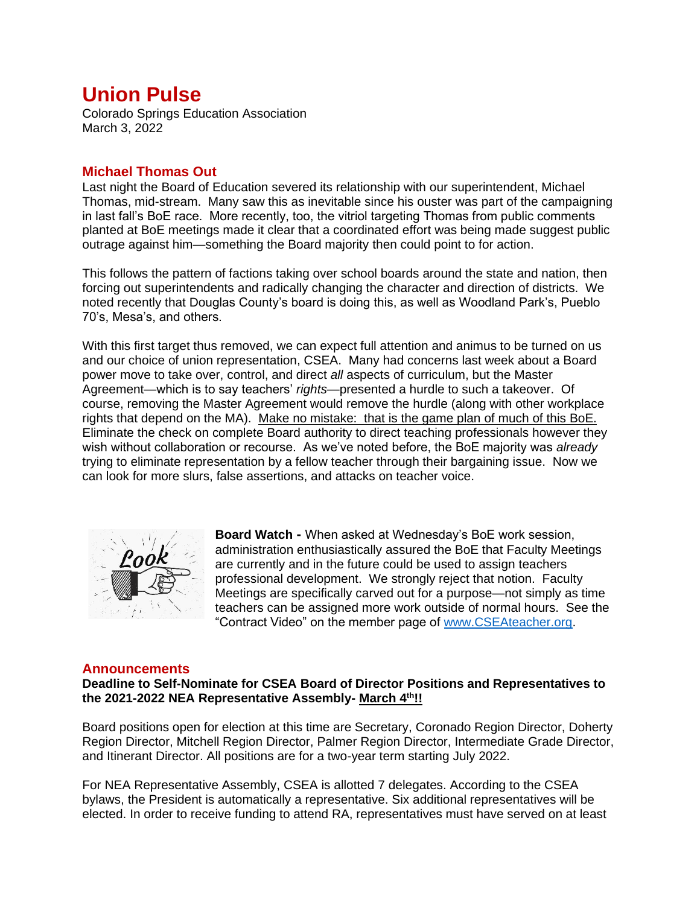# **Union Pulse**

Colorado Springs Education Association March 3, 2022

## **Michael Thomas Out**

Last night the Board of Education severed its relationship with our superintendent, Michael Thomas, mid-stream. Many saw this as inevitable since his ouster was part of the campaigning in last fall's BoE race. More recently, too, the vitriol targeting Thomas from public comments planted at BoE meetings made it clear that a coordinated effort was being made suggest public outrage against him—something the Board majority then could point to for action.

This follows the pattern of factions taking over school boards around the state and nation, then forcing out superintendents and radically changing the character and direction of districts. We noted recently that Douglas County's board is doing this, as well as Woodland Park's, Pueblo 70's, Mesa's, and others.

With this first target thus removed, we can expect full attention and animus to be turned on us and our choice of union representation, CSEA. Many had concerns last week about a Board power move to take over, control, and direct *all* aspects of curriculum, but the Master Agreement—which is to say teachers' *rights*—presented a hurdle to such a takeover. Of course, removing the Master Agreement would remove the hurdle (along with other workplace rights that depend on the MA). Make no mistake: that is the game plan of much of this BoE. Eliminate the check on complete Board authority to direct teaching professionals however they wish without collaboration or recourse. As we've noted before, the BoE majority was *already* trying to eliminate representation by a fellow teacher through their bargaining issue. Now we can look for more slurs, false assertions, and attacks on teacher voice.



**Board Watch -** When asked at Wednesday's BoE work session, administration enthusiastically assured the BoE that Faculty Meetings are currently and in the future could be used to assign teachers professional development. We strongly reject that notion. Faculty Meetings are specifically carved out for a purpose—not simply as time teachers can be assigned more work outside of normal hours. See the "Contract Video" on the member page of [www.CSEAteacher.org.](http://www.cseateacher.org/)

## **Announcements**

**Deadline to Self-Nominate for CSEA Board of Director Positions and Representatives to the 2021-2022 NEA Representative Assembly- March 4th!!**

Board positions open for election at this time are Secretary, Coronado Region Director, Doherty Region Director, Mitchell Region Director, Palmer Region Director, Intermediate Grade Director, and Itinerant Director. All positions are for a two-year term starting July 2022.

For NEA Representative Assembly, CSEA is allotted 7 delegates. According to the CSEA bylaws, the President is automatically a representative. Six additional representatives will be elected. In order to receive funding to attend RA, representatives must have served on at least